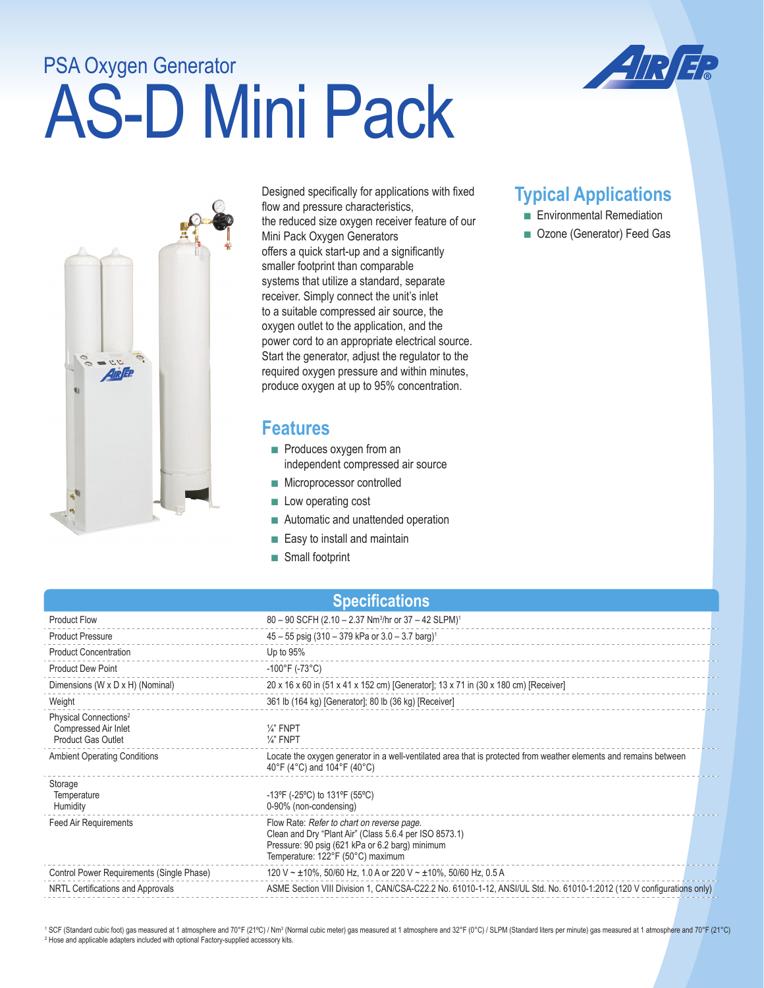## AS-D Mini Pack PSA Oxygen Generator





Designed specifically for applications with fixed flow and pressure characteristics, the reduced size oxygen receiver feature of our Mini Pack Oxygen Generators offers a quick start-up and a significantly smaller footprint than comparable systems that utilize a standard, separate receiver. Simply connect the unit's inlet to a suitable compressed air source, the oxygen outlet to the application, and the power cord to an appropriate electrical source. Start the generator, adjust the regulator to the required oxygen pressure and within minutes, produce oxygen at up to 95% concentration.

## **Features**

- Produces oxygen from an independent compressed air source
- Microprocessor controlled
- Low operating cost
- Automatic and unattended operation
- Easy to install and maintain
- Small footprint

## **Typical Applications**

- Environmental Remediation
- Ozone (Generator) Feed Gas

|  |  | <b>Specifications</b> |
|--|--|-----------------------|
|  |  |                       |

| <b>Product Flow</b>                                                                    | 80 - 90 SCFH (2.10 - 2.37 Nm <sup>3</sup> /hr or 37 - 42 SLPM) <sup>1</sup>                                                                                                                  |
|----------------------------------------------------------------------------------------|----------------------------------------------------------------------------------------------------------------------------------------------------------------------------------------------|
| <b>Product Pressure</b>                                                                | $45 - 55$ psig (310 - 379 kPa or 3.0 - 3.7 barg) <sup>1</sup>                                                                                                                                |
| <b>Product Concentration</b>                                                           | Up to 95%                                                                                                                                                                                    |
| <b>Product Dew Point</b>                                                               | $-100^{\circ}$ F (-73 $^{\circ}$ C)                                                                                                                                                          |
| Dimensions (W x D x H) (Nominal)                                                       | 20 x 16 x 60 in (51 x 41 x 152 cm) [Generator]; 13 x 71 in (30 x 180 cm) [Receiver]                                                                                                          |
| Weight                                                                                 | 361 lb (164 kg) [Generator]; 80 lb (36 kg) [Receiver]                                                                                                                                        |
| Physical Connections <sup>2</sup><br>Compressed Air Inlet<br><b>Product Gas Outlet</b> | $\frac{1}{4}$ " FNPT<br>$\frac{1}{4}$ FNPT                                                                                                                                                   |
| <b>Ambient Operating Conditions</b>                                                    | Locate the oxygen generator in a well-ventilated area that is protected from weather elements and remains between<br>40°F (4°C) and 104°F (40°C)                                             |
| Storage<br>Temperature<br>Humidity                                                     | -13°F (-25°C) to 131°F (55°C)<br>0-90% (non-condensing)                                                                                                                                      |
| <b>Feed Air Requirements</b>                                                           | Flow Rate: Refer to chart on reverse page.<br>Clean and Dry "Plant Air" (Class 5.6.4 per ISO 8573.1)<br>Pressure: 90 psig (621 kPa or 6.2 barg) minimum<br>Temperature: 122°F (50°C) maximum |
| Control Power Requirements (Single Phase)                                              | 120 V ~ $\pm$ 10%, 50/60 Hz, 1.0 A or 220 V ~ $\pm$ 10%, 50/60 Hz, 0.5 A                                                                                                                     |
| NRTL Certifications and Approvals                                                      | ASME Section VIII Division 1, CAN/CSA-C22.2 No. 61010-1-12, ANSI/UL Std. No. 61010-1:2012 (120 V configurations only)                                                                        |
|                                                                                        |                                                                                                                                                                                              |

<sup>1</sup> SCF (Standard cubic foot) gas measured at 1 atmosphere and 70°F (21°C) / Nm<sup>3</sup> (Normal cubic meter) gas measured at 1 atmosphere and 32°F (0°C) / SLPM (Standard liters per minute) gas measured at 1 atmosphere and 70°F <sup>2</sup> Hose and applicable adapters included with optional Factory-supplied accessory kits.